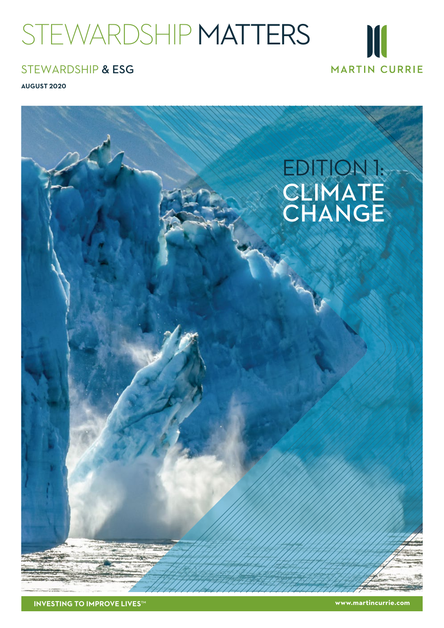# STEWARDSHIP MATTERS



## STEWARDSHIP & ESG

**AUGUST 2020** 



**www.martincurrie.com**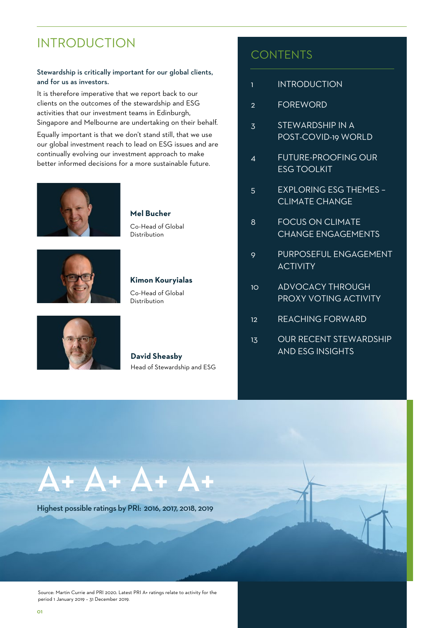## <span id="page-1-0"></span>INTRODUCTION

#### Stewardship is critically important for our global clients, and for us as investors.

It is therefore imperative that we report back to our clients on the outcomes of the stewardship and ESG activities that our investment teams in Edinburgh, Singapore and Melbourne are undertaking on their behalf.

Equally important is that we don't stand still, that we use our global investment reach to lead on ESG issues and are continually evolving our investment approach to make better informed decisions for a more sustainable future.



**Mel Bucher**

Co-Head of Global Distribution



#### **Kimon Kouryialas**

Co-Head of Global Distribution



#### **David Sheasby** Head of Stewardship and ESG

## **CONTENTS**

- 1 INTRODUCTION
- [2 FOREWORD](#page-2-0)
- [3 STEWARDSHIP IN A](#page-3-0)  POST-COVID-19 WORLD
- [4 FUTURE-PROOFING OUR](#page-4-0)  ESG TOOLKIT
- [5 EXPLORING ESG THEMES](#page-5-0)  CLIMATE CHANGE
- [8 FOCUS ON CLIMATE](#page-8-0)  CHANGE ENGAGEMENTS
- [9 PURPOSEFUL ENGAGEMENT](#page-9-0) **ACTIVITY**
- [10 ADVOCACY THROUGH](#page-10-0)  PROXY VOTING ACTIVITY
- [12 REACHING FORWARD](#page-12-0)
- [13 OUR RECENT STEWARDSHIP](#page-13-0)  AND ESG INSIGHTS



Highest possible ratings by PRI: 2016, 2017, 2018, 2019

Source: Martin Currie and PRI 2020. Latest PRI A+ ratings relate to activity for the period 1 January 2019 – 31 December 2019.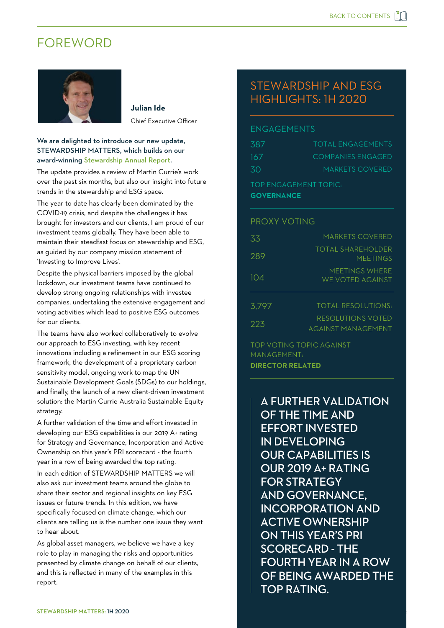## <span id="page-2-0"></span>FOREWORD



**Julian Ide** Chief Executive Officer

#### We are delighted to introduce our new update, STEWARDSHIP MATTERS, which builds on our award-winning St[ewardship Annual Report.](https://www.martincurrie.com/insights/stewardship-report-2020)

The update provides a review of Martin Currie's work over the past six months, but also our insight into future trends in the stewardship and ESG space.

The year to date has clearly been dominated by the COVID-19 crisis, and despite the challenges it has brought for investors and our clients, I am proud of our investment teams globally. They have been able to maintain their steadfast focus on stewardship and ESG, as guided by our company mission statement of 'Investing to Improve Lives'.

Despite the physical barriers imposed by the global lockdown, our investment teams have continued to develop strong ongoing relationships with investee companies, undertaking the extensive engagement and voting activities which lead to positive ESG outcomes for our clients.

The teams have also worked collaboratively to evolve our approach to ESG investing, with key recent innovations including a refinement in our ESG scoring framework, the development of a proprietary carbon sensitivity model, ongoing work to map the UN Sustainable Development Goals (SDGs) to our holdings, and finally, the launch of a new client-driven investment solution: the Martin Currie Australia Sustainable Equity strategy.

A further validation of the time and effort invested in developing our ESG capabilities is our 2019 A+ rating for Strategy and Governance, Incorporation and Active Ownership on this year's PRI scorecard - the fourth year in a row of being awarded the top rating. In each edition of STEWARDSHIP MATTERS we will also ask our investment teams around the globe to share their sector and regional insights on key ESG issues or future trends. In this edition, we have specifically focused on climate change, which our clients are telling us is the number one issue they want to hear about.

As global asset managers, we believe we have a key role to play in managing the risks and opportunities presented by climate change on behalf of our clients, and this is reflected in many of the examples in this report.

## STEWARDSHIP AND ESG HIGHLIGHTS: 1H 2020

#### ENGAGEMENTS

| <b>GOVERNANCE</b>            |                          |  |
|------------------------------|--------------------------|--|
| <b>TOP ENGAGEMENT TOPIC:</b> |                          |  |
| .30                          | <b>MARKETS COVERED</b>   |  |
| -167                         | <b>COMPANIES ENGAGED</b> |  |
| 387                          | <b>TOTAL ENGAGEMENTS</b> |  |

#### PROXY VOTING

| 33    | <b>MARKETS COVERED</b>                         |
|-------|------------------------------------------------|
| 289   | TOTAL SHARFHOLDER<br><b>MFFTINGS</b>           |
| 104   | MFFTINGS WHFRF<br>WE VOTED AGAINST             |
| 3,797 | <b>TOTAL RESOLUTIONS:</b>                      |
| 223   | RESOLUTIONS VOTED<br><b>AGAINST MANAGEMENT</b> |

TOP VOTING TOPIC AGAINST MANAGEMENT: **DIRECTOR RELATED**

> A FURTHER VALIDATION OF THE TIME AND EFFORT INVESTED IN DEVELOPING OUR CAPABILITIES IS OUR 2019 A+ RATING FOR STRATEGY AND GOVERNANCE, INCORPORATION AND ACTIVE OWNERSHIP ON THIS YEAR'S PRI SCORECARD - THE FOURTH YEAR IN A ROW OF BEING AWARDED THE TOP RATING.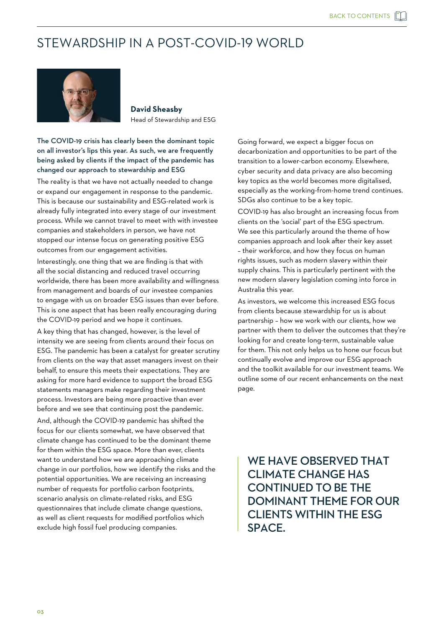## <span id="page-3-0"></span>STEWARDSHIP IN A POST-COVID-19 WORLD



**David Sheasby** Head of Stewardship and ESG

#### The COVID-19 crisis has clearly been the dominant topic on all investor's lips this year. As such, we are frequently being asked by clients if the impact of the pandemic has changed our approach to stewardship and ESG

The reality is that we have not actually needed to change or expand our engagement in response to the pandemic. This is because our sustainability and ESG-related work is already fully integrated into every stage of our investment process. While we cannot travel to meet with with investee companies and stakeholders in person, we have not stopped our intense focus on generating positive ESG outcomes from our engagement activities.

Interestingly, one thing that we are finding is that with all the social distancing and reduced travel occurring worldwide, there has been more availability and willingness from management and boards of our investee companies to engage with us on broader ESG issues than ever before. This is one aspect that has been really encouraging during the COVID-19 period and we hope it continues.

A key thing that has changed, however, is the level of intensity we are seeing from clients around their focus on ESG. The pandemic has been a catalyst for greater scrutiny from clients on the way that asset managers invest on their behalf, to ensure this meets their expectations. They are asking for more hard evidence to support the broad ESG statements managers make regarding their investment process. Investors are being more proactive than ever before and we see that continuing post the pandemic. And, although the COVID-19 pandemic has shifted the focus for our clients somewhat, we have observed that climate change has continued to be the dominant theme for them within the ESG space. More than ever, clients want to understand how we are approaching climate change in our portfolios, how we identify the risks and the potential opportunities. We are receiving an increasing number of requests for portfolio carbon footprints, scenario analysis on climate-related risks, and ESG questionnaires that include climate change questions, as well as client requests for modified portfolios which exclude high fossil fuel producing companies.

Going forward, we expect a bigger focus on decarbonization and opportunities to be part of the transition to a lower-carbon economy. Elsewhere, cyber security and data privacy are also becoming key topics as the world becomes more digitalised, especially as the working-from-home trend continues. SDGs also continue to be a key topic.

COVID-19 has also brought an increasing focus from clients on the 'social' part of the ESG spectrum. We see this particularly around the theme of how companies approach and look after their key asset – their workforce, and how they focus on human rights issues, such as modern slavery within their supply chains. This is particularly pertinent with the new modern slavery legislation coming into force in Australia this year.

As investors, we welcome this increased ESG focus from clients because stewardship for us is about partnership – how we work with our clients, how we partner with them to deliver the outcomes that they're looking for and create long-term, sustainable value for them. This not only helps us to hone our focus but continually evolve and improve our ESG approach and the toolkit available for our investment teams. We outline some of our recent enhancements on the next page.

WE HAVE OBSERVED THAT CLIMATE CHANGE HAS CONTINUED TO BE THE DOMINANT THEME FOR OUR CLIENTS WITHIN THE ESG SPACE.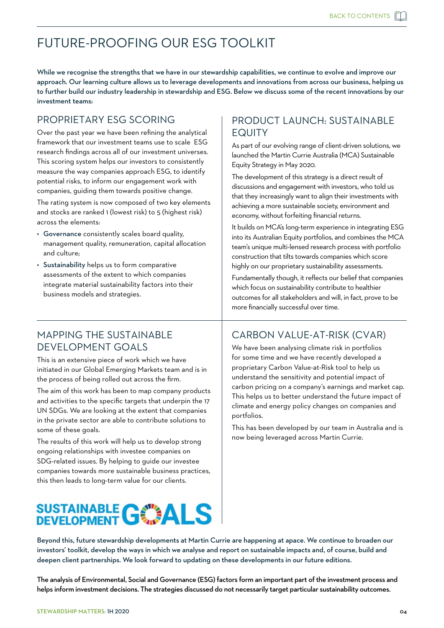## <span id="page-4-0"></span>FUTURE-PROOFING OUR ESG TOOLKIT

While we recognise the strengths that we have in our stewardship capabilities, we continue to evolve and improve our approach. Our learning culture allows us to leverage developments and innovations from across our business, helping us to further build our industry leadership in stewardship and ESG. Below we discuss some of the recent innovations by our investment teams:

### PROPRIETARY ESG SCORING

Over the past year we have been refining the analytical framework that our investment teams use to scale ESG research findings across all of our investment universes. This scoring system helps our investors to consistently measure the way companies approach ESG, to identify potential risks, to inform our engagement work with companies, guiding them towards positive change.

The rating system is now composed of two key elements and stocks are ranked 1 (lowest risk) to 5 (highest risk) across the elements:

- Governance consistently scales board quality, management quality, remuneration, capital allocation and culture;
- Sustainability helps us to form comparative assessments of the extent to which companies integrate material sustainability factors into their business models and strategies.

## PRODUCT LAUNCH: SUSTAINABLE EQUITY

As part of our evolving range of client-driven solutions, we launched the Martin Currie Australia (MCA) Sustainable Equity Strategy in May 2020.

The development of this strategy is a direct result of discussions and engagement with investors, who told us that they increasingly want to align their investments with achieving a more sustainable society, environment and economy, without forfeiting financial returns.

It builds on MCA's long-term experience in integrating ESG into its Australian Equity portfolios, and combines the MCA team's unique multi-lensed research process with portfolio construction that tilts towards companies which score highly on our proprietary sustainability assessments.

Fundamentally though, it reflects our belief that companies which focus on sustainability contribute to healthier outcomes for all stakeholders and will, in fact, prove to be more financially successful over time.

#### MAPPING THE SUSTAINABLE DEVELOPMENT GOALS

This is an extensive piece of work which we have initiated in our Global Emerging Markets team and is in the process of being rolled out across the firm.

The aim of this work has been to map company products and activities to the specific targets that underpin the 17 UN SDGs. We are looking at the extent that companies in the private sector are able to contribute solutions to some of these goals.

The results of this work will help us to develop strong ongoing relationships with investee companies on SDG-related issues. By helping to guide our investee companies towards more sustainable business practices, this then leads to long-term value for our clients.

# **SUSTAINABLE GCALS**

## CARBON VALUE-AT-RISK (CVAR)

We have been analysing climate risk in portfolios for some time and we have recently developed a proprietary Carbon Value-at-Risk tool to help us understand the sensitivity and potential impact of carbon pricing on a company's earnings and market cap. This helps us to better understand the future impact of climate and energy policy changes on companies and portfolios.

This has been developed by our team in Australia and is now being leveraged across Martin Currie.

Beyond this, future stewardship developments at Martin Currie are happening at apace. We continue to broaden our investors' toolkit, develop the ways in which we analyse and report on sustainable impacts and, of course, build and deepen client partnerships. We look forward to updating on these developments in our future editions.

The analysis of Environmental, Social and Governance (ESG) factors form an important part of the investment process and helps inform investment decisions. The strategies discussed do not necessarily target particular sustainability outcomes.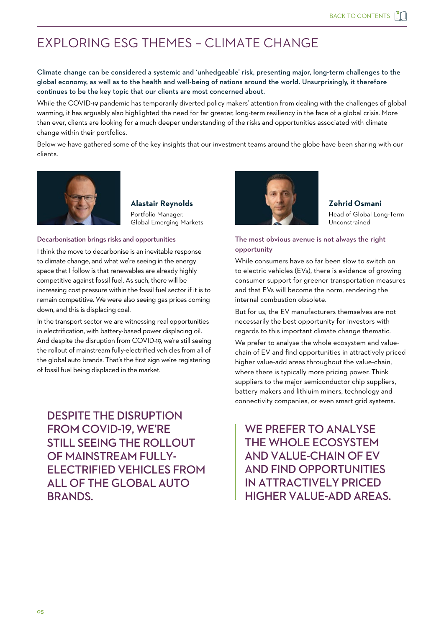## <span id="page-5-0"></span>EXPLORING ESG THEMES – CLIMATE CHANGE

Climate change can be considered a systemic and 'unhedgeable' risk, presenting major, long-term challenges to the global economy, as well as to the health and well-being of nations around the world. Unsurprisingly, it therefore continues to be the key topic that our clients are most concerned about.

While the COVID-19 pandemic has temporarily diverted policy makers' attention from dealing with the challenges of global warming, it has arguably also highlighted the need for far greater, long-term resiliency in the face of a global crisis. More than ever, clients are looking for a much deeper understanding of the risks and opportunities associated with climate change within their portfolios.

Below we have gathered some of the key insights that our investment teams around the globe have been sharing with our clients.



**Alastair Reynolds** Portfolio Manager, Global Emerging Markets

#### Decarbonisation brings risks and opportunities

I think the move to decarbonise is an inevitable response to climate change, and what we're seeing in the energy space that I follow is that renewables are already highly competitive against fossil fuel. As such, there will be increasing cost pressure within the fossil fuel sector if it is to remain competitive. We were also seeing gas prices coming down, and this is displacing coal.

In the transport sector we are witnessing real opportunities in electrification, with battery-based power displacing oil. And despite the disruption from COVID-19, we're still seeing the rollout of mainstream fully-electrified vehicles from all of the global auto brands. That's the first sign we're registering of fossil fuel being displaced in the market.

DESPITE THE DISRUPTION FROM COVID-19, WE'RE STILL SEEING THE ROLLOUT OF MAINSTREAM FULLY-ELECTRIFIED VEHICLES FROM ALL OF THE GLOBAL AUTO BRANDS.



**Zehrid Osmani** Head of Global Long-Term Unconstrained

#### The most obvious avenue is not always the right opportunity

While consumers have so far been slow to switch on to electric vehicles (EVs), there is evidence of growing consumer support for greener transportation measures and that EVs will become the norm, rendering the internal combustion obsolete.

But for us, the EV manufacturers themselves are not necessarily the best opportunity for investors with regards to this important climate change thematic.

We prefer to analyse the whole ecosystem and valuechain of EV and find opportunities in attractively priced higher value-add areas throughout the value-chain, where there is typically more pricing power. Think suppliers to the major semiconductor chip suppliers, battery makers and lithiuim miners, technology and connectivity companies, or even smart grid systems.

WE PREFER TO ANAI YSF THE WHOLE ECOSYSTEM AND VALUE-CHAIN OF EV AND FIND OPPORTUNITIES IN ATTRACTIVELY PRICED HIGHER VALUE-ADD AREAS.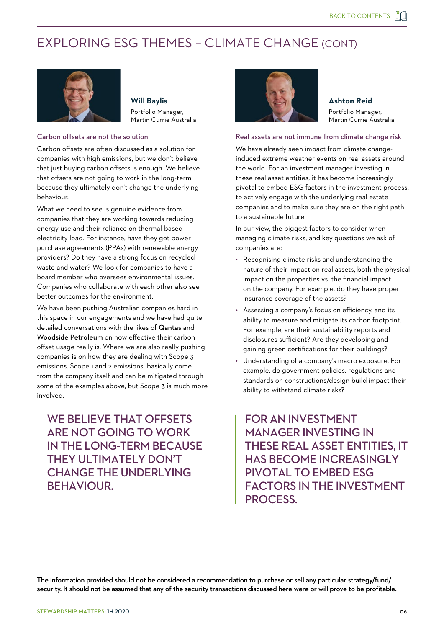## EXPLORING ESG THEMES – CLIMATE CHANGE (CONT)



**Will Baylis** Portfolio Manager, Martin Currie Australia

#### Carbon offsets are not the solution

Carbon offsets are often discussed as a solution for companies with high emissions, but we don't believe that just buying carbon offsets is enough. We believe that offsets are not going to work in the long-term because they ultimately don't change the underlying behaviour.

What we need to see is genuine evidence from companies that they are working towards reducing energy use and their reliance on thermal-based electricity load. For instance, have they got power purchase agreements (PPAs) with renewable energy providers? Do they have a strong focus on recycled waste and water? We look for companies to have a board member who oversees environmental issues. Companies who collaborate with each other also see better outcomes for the environment.

We have been pushing Australian companies hard in this space in our engagements and we have had quite detailed conversations with the likes of Qantas and Woodside Petroleum on how effective their carbon offset usage really is. Where we are also really pushing companies is on how they are dealing with Scope 3 emissions. Scope 1 and 2 emissions basically come from the company itself and can be mitigated through some of the examples above, but Scope 3 is much more involved.

WE BELIEVE THAT OFFSETS ARE NOT GOING TO WORK IN THE LONG-TERM BECAUSE THEY ULTIMATELY DON'T CHANGE THE UNDERLYING BEHAVIOUR.



**Ashton Reid**

Portfolio Manager, Martin Currie Australia

#### Real assets are not immune from climate change risk

We have already seen impact from climate changeinduced extreme weather events on real assets around the world. For an investment manager investing in these real asset entities, it has become increasingly pivotal to embed ESG factors in the investment process, to actively engage with the underlying real estate companies and to make sure they are on the right path to a sustainable future.

In our view, the biggest factors to consider when managing climate risks, and key questions we ask of companies are:

- Recognising climate risks and understanding the nature of their impact on real assets, both the physical impact on the properties vs. the financial impact on the company. For example, do they have proper insurance coverage of the assets?
- Assessing a company's focus on efficiency, and its ability to measure and mitigate its carbon footprint. For example, are their sustainability reports and disclosures sufficient? Are they developing and gaining green certifications for their buildings?
- Understanding of a company's macro exposure. For example, do government policies, regulations and standards on constructions/design build impact their ability to withstand climate risks?

FOR AN INVESTMENT MANAGER INVESTING IN THESE REAL ASSET ENTITIES, IT HAS BECOME INCREASINGLY PIVOTAL TO EMBED ESG FACTORS IN THE INVESTMENT PROCESS.

The information provided should not be considered a recommendation to purchase or sell any particular strategy/fund/ security. It should not be assumed that any of the security transactions discussed here were or will prove to be profitable.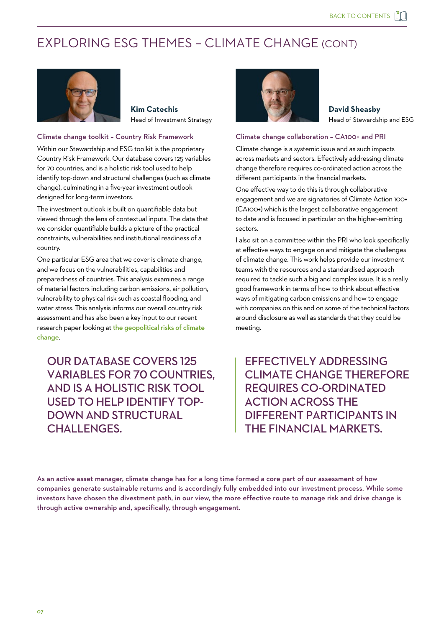## EXPLORING ESG THEMES – CLIMATE CHANGE (CONT)



**Kim Catechis** Head of Investment Strategy

#### Climate change toolkit – Country Risk Framework

Within our Stewardship and ESG toolkit is the proprietary Country Risk Framework. Our database covers 125 variables for 70 countries, and is a holistic risk tool used to help identify top-down and structural challenges (such as climate change), culminating in a five-year investment outlook designed for long-term investors.

The investment outlook is built on quantifiable data but viewed through the lens of contextual inputs. The data that we consider quantifiable builds a picture of the practical constraints, vulnerabilities and institutional readiness of a country.

One particular ESG area that we cover is climate change, and we focus on the vulnerabilities, capabilities and preparedness of countries. This analysis examines a range of material factors including carbon emissions, air pollution, vulnerability to physical risk such as coastal flooding, and water stress. This analysis informs our overall country risk assessment and has also been a key input to our recent research paper looking at the geopolitical risks of climate change.

OUR DATABASE COVERS 125 VARIABLES FOR 70 COUNTRIES, AND IS A HOLISTIC RISK TOOL USED TO HELP IDENTIFY TOP-DOWN AND STRUCTURAL CHALLENGES.



**David Sheasby** Head of Stewardship and ESG

#### Climate change collaboration – CA100+ and PRI

Climate change is a systemic issue and as such impacts across markets and sectors. Effectively addressing climate change therefore requires co-ordinated action across the different participants in the financial markets.

One effective way to do this is through collaborative engagement and we are signatories of Climate Action 100+ (CA100+) which is the largest collaborative engagement to date and is focused in particular on the higher-emitting sectors.

I also sit on a committee within the PRI who look specifically at effective ways to engage on and mitigate the challenges of climate change. This work helps provide our investment teams with the resources and a standardised approach required to tackle such a big and complex issue. It is a really good framework in terms of how to think about effective ways of mitigating carbon emissions and how to engage with companies on this and on some of the technical factors around disclosure as well as standards that they could be meeting.

EFFECTIVELY ADDRESSING CLIMATE CHANGE THEREFORE REQUIRES CO-ORDINATED ACTION ACROSS THE DIFFERENT PARTICIPANTS IN THE FINANCIAL MARKETS.

As an active asset manager, climate change has for a long time formed a core part of our assessment of how companies generate sustainable returns and is accordingly fully embedded into our investment process. While some investors have chosen the divestment path, in our view, the more effective route to manage risk and drive change is through active ownership and, specifically, through engagement.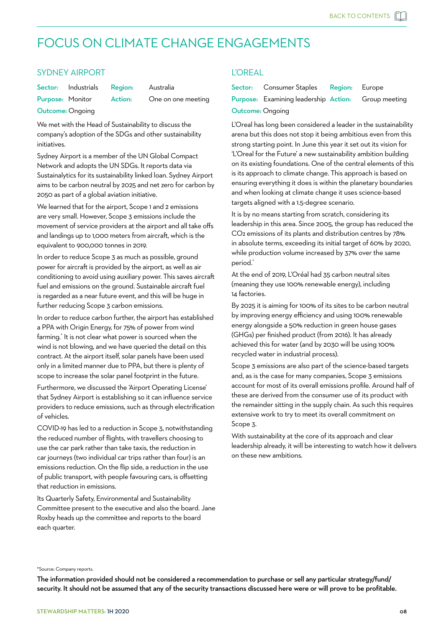## <span id="page-8-0"></span>FOCUS ON CLIMATE CHANGE ENGAGEMENTS

#### SYDNEY AIRPORT

Sector: Industrials Region: Australia Purpose: Monitor Action: One on one meeting

Outcome: Ongoing

We met with the Head of Sustainability to discuss the company's adoption of the SDGs and other sustainability initiatives.

Sydney Airport is a member of the UN Global Compact Network and adopts the UN SDGs. It reports data via Sustainalytics for its sustainability linked loan. Sydney Airport aims to be carbon neutral by 2025 and net zero for carbon by 2050 as part of a global aviation initiative.

We learned that for the airport, Scope 1 and 2 emissions are very small. However, Scope 3 emissions include the movement of service providers at the airport and all take offs and landings up to 1,000 meters from aircraft, which is the equivalent to 900,000 tonnes in 2019.

In order to reduce Scope 3 as much as possible, ground power for aircraft is provided by the airport, as well as air conditioning to avoid using auxiliary power. This saves aircraft fuel and emissions on the ground. Sustainable aircraft fuel is regarded as a near future event, and this will be huge in further reducing Scope 3 carbon emissions.

In order to reduce carbon further, the airport has established a PPA with Origin Energy, for 75% of power from wind farming.\* It is not clear what power is sourced when the wind is not blowing, and we have queried the detail on this contract. At the airport itself, solar panels have been used only in a limited manner due to PPA, but there is plenty of scope to increase the solar panel footprint in the future.

Furthermore, we discussed the 'Airport Operating License' that Sydney Airport is establishing so it can influence service providers to reduce emissions, such as through electrification of vehicles.

COVID-19 has led to a reduction in Scope 3, notwithstanding the reduced number of flights, with travellers choosing to use the car park rather than take taxis, the reduction in car journeys (two individual car trips rather than four) is an emissions reduction. On the flip side, a reduction in the use of public transport, with people favouring cars, is offsetting that reduction in emissions.

Its Quarterly Safety, Environmental and Sustainability Committee present to the executive and also the board. Jane Roxby heads up the committee and reports to the board each quarter.

#### L'OREAL

|                         | Sector: Consumer Staples Region: Europe                           |  |
|-------------------------|-------------------------------------------------------------------|--|
|                         | <b>Purpose:</b> Examining leadership <b>Action:</b> Group meeting |  |
| <b>Outcome: Ongoing</b> |                                                                   |  |

L'Oreal has long been considered a leader in the sustainability arena but this does not stop it being ambitious even from this strong starting point. In June this year it set out its vision for 'L'Oreal for the Future' a new sustainability ambition building on its existing foundations. One of the central elements of this is its approach to climate change. This approach is based on ensuring everything it does is within the planetary boundaries and when looking at climate change it uses science-based targets aligned with a 1.5-degree scenario.

It is by no means starting from scratch, considering its leadership in this area. Since 2005, the group has reduced the CO2 emissions of its plants and distribution centres by 78% in absolute terms, exceeding its initial target of 60% by 2020, while production volume increased by 37% over the same period.\*

At the end of 2019, L'Oréal had 35 carbon neutral sites (meaning they use 100% renewable energy), including 14 factories.

By 2025 it is aiming for 100% of its sites to be carbon neutral by improving energy efficiency and using 100% renewable energy alongside a 50% reduction in green house gases (GHGs) per finished product (from 2016). It has already achieved this for water (and by 2030 will be using 100% recycled water in industrial process).

Scope 3 emissions are also part of the science-based targets and, as is the case for many companies, Scope 3 emissions account for most of its overall emissions profile. Around half of these are derived from the consumer use of its product with the remainder sitting in the supply chain. As such this requires extensive work to try to meet its overall commitment on Scope 3.

With sustainability at the core of its approach and clear leadership already, it will be interesting to watch how it delivers on these new ambitions.

#### \*Source: Company reports.

The information provided should not be considered a recommendation to purchase or sell any particular strategy/fund/ security. It should not be assumed that any of the security transactions discussed here were or will prove to be profitable.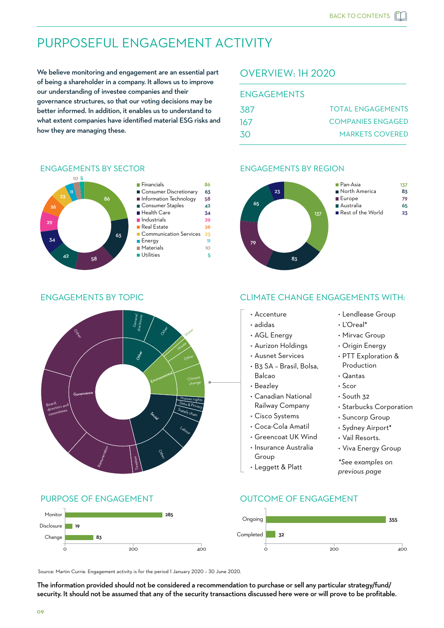## <span id="page-9-0"></span>PURPOSEFUL ENGAGEMENT ACTIVITY

We believe monitoring and engagement are an essential part of being a shareholder in a company. It allows us to improve our understanding of investee companies and their governance structures, so that our voting decisions may be better informed. In addition, it enables us to understand to what extent companies have identified material ESG risks and how they are managing these.

#### OVERVIEW: 1H 2020

| <b>ENGAGEMENTS</b> |                          |
|--------------------|--------------------------|
| .387               | <b>TOTAL ENGAGEMENTS</b> |
| 167                | COMPANIES ENGAGED        |
| <b>30</b>          | <b>MARKETS COVERED</b>   |

#### ENGAGEMENTS BY REGION





ENGAGEMENTS BY SECTOR

#### Consumer Discretionary 63 ■ Health Care 34 ■ Financials 86 **Information Technology** 58 Consumer Staples 42 **Industrials** 29 Energy 11 **Real Estate** 26 Communication Services 23 **Materials** 10 Utilities 5

#### ENGAGEMENTS BY TOPIC CLIMATE CHANGE ENGAGEMENTS WITH:



#### Monitor 285 Ongoing 355 Disclosure m. 19 Completed 32 <sup>83</sup> Completed Change 0 200 200 400 0 200 200 400

Source: Martin Currie. Engagement activity is for the period 1 January 2020 – 30 June 2020.

The information provided should not be considered a recommendation to purchase or sell any particular strategy/fund/ security. It should not be assumed that any of the security transactions discussed here were or will prove to be profitable.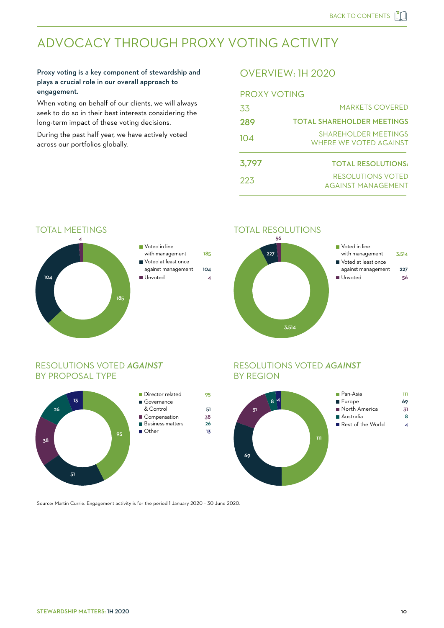## <span id="page-10-0"></span>ADVOCACY THROUGH PROXY VOTING ACTIVITY

#### Proxy voting is a key component of stewardship and plays a crucial role in our overall approach to engagement.

When voting on behalf of our clients, we will always seek to do so in their best interests considering the long-term impact of these voting decisions.

During the past half year, we have actively voted across our portfolios globally.

#### OVERVIEW: 1H 2020

| PROXY VOTING |                                                       |  |  |
|--------------|-------------------------------------------------------|--|--|
| .33          | <b>MARKETS COVERED</b>                                |  |  |
| 289          | <b>TOTAL SHAREHOLDER MEETINGS</b>                     |  |  |
| 104          | <b>SHAREHOLDER MEETINGS</b><br>WHERE WE VOTED AGAINST |  |  |
| 3,797        | <b>TOTAL RESOLUTIONS:</b>                             |  |  |
| 223          | RESOLUTIONS VOTED<br>AGAINST MANAGEMENT               |  |  |



#### TOTAL MEETINGS



| ■ Voted in line     |     |
|---------------------|-----|
| with management     | 185 |
| Voted at least once |     |
| against management  | 104 |
| Illnyoted           |     |
|                     |     |

#### RESOLUTIONS VOTED *AGAINST* BY PROPOSAL TYPE



| Director related        | 95 |
|-------------------------|----|
| ■ Governance            |    |
| & Control               | 51 |
| ■ Compensation          | 38 |
| <b>Business matters</b> | 26 |
| Other                   | 13 |
|                         |    |
|                         |    |
|                         |    |

#### RESOLUTIONS VOTED *AGAINST* BY REGION



Source: Martin Currie. Engagement activity is for the period 1 January 2020 – 30 June 2020.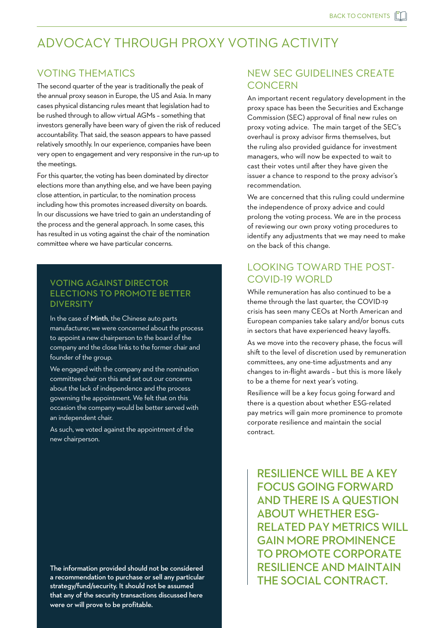## ADVOCACY THROUGH PROXY VOTING ACTIVITY

#### VOTING THEMATICS

The second quarter of the year is traditionally the peak of the annual proxy season in Europe, the US and Asia. In many cases physical distancing rules meant that legislation had to be rushed through to allow virtual AGMs – something that investors generally have been wary of given the risk of reduced accountability. That said, the season appears to have passed relatively smoothly. In our experience, companies have been very open to engagement and very responsive in the run-up to the meetings.

For this quarter, the voting has been dominated by director elections more than anything else, and we have been paying close attention, in particular, to the nomination process including how this promotes increased diversity on boards. In our discussions we have tried to gain an understanding of the process and the general approach. In some cases, this has resulted in us voting against the chair of the nomination committee where we have particular concerns.

#### VOTING AGAINST DIRECTOR ELECTIONS TO PROMOTE BETTER **DIVERSITY**

In the case of Minth, the Chinese auto parts manufacturer, we were concerned about the process to appoint a new chairperson to the board of the company and the close links to the former chair and founder of the group.

We engaged with the company and the nomination committee chair on this and set out our concerns about the lack of independence and the process governing the appointment. We felt that on this occasion the company would be better served with an independent chair.

As such, we voted against the appointment of the new chairperson.

The information provided should not be considered a recommendation to purchase or sell any particular strategy/fund/security. It should not be assumed that any of the security transactions discussed here were or will prove to be profitable.

#### NEW SEC GUIDELINES CREATE **CONCERN**

An important recent regulatory development in the proxy space has been the Securities and Exchange Commission (SEC) approval of final new rules on proxy voting advice. The main target of the SEC's overhaul is proxy advisor firms themselves, but the ruling also provided guidance for investment managers, who will now be expected to wait to cast their votes until after they have given the issuer a chance to respond to the proxy advisor's recommendation.

We are concerned that this ruling could undermine the independence of proxy advice and could prolong the voting process. We are in the process of reviewing our own proxy voting procedures to identify any adjustments that we may need to make on the back of this change.

#### LOOKING TOWARD THE POST-COVID-19 WORLD

While remuneration has also continued to be a theme through the last quarter, the COVID-19 crisis has seen many CEOs at North American and European companies take salary and/or bonus cuts in sectors that have experienced heavy layoffs.

As we move into the recovery phase, the focus will shift to the level of discretion used by remuneration committees, any one-time adjustments and any changes to in-flight awards – but this is more likely to be a theme for next year's voting.

Resilience will be a key focus going forward and there is a question about whether ESG-related pay metrics will gain more prominence to promote corporate resilience and maintain the social contract.

RESILIENCE WILL BE A KEY FOCUS GOING FORWARD AND THERE IS A QUESTION ABOUT WHETHER ESG-RELATED PAY METRICS WILL GAIN MORE PROMINENCE TO PROMOTE CORPORATE RESILIENCE AND MAINTAIN THE SOCIAL CONTRACT.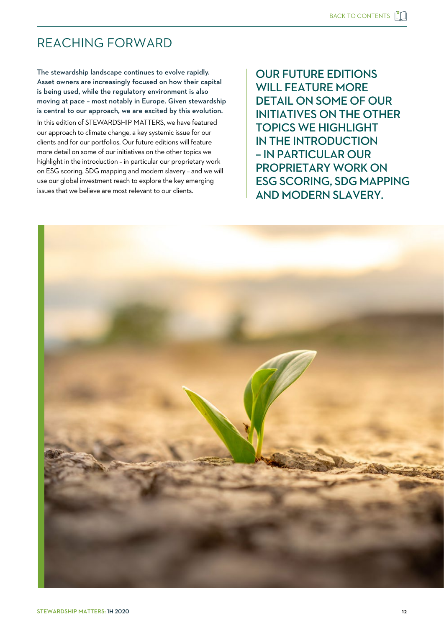## <span id="page-12-0"></span>REACHING FORWARD

The stewardship landscape continues to evolve rapidly. Asset owners are increasingly focused on how their capital is being used, while the regulatory environment is also moving at pace – most notably in Europe. Given stewardship is central to our approach, we are excited by this evolution. In this edition of STEWARDSHIP MATTERS, we have featured our approach to climate change, a key systemic issue for our clients and for our portfolios. Our future editions will feature more detail on some of our initiatives on the other topics we highlight in the introduction – in particular our proprietary work on ESG scoring, SDG mapping and modern slavery – and we will use our global investment reach to explore the key emerging issues that we believe are most relevant to our clients.

OUR FUTURE EDITIONS WILL FEATURE MORE DETAIL ON SOME OF OUR INITIATIVES ON THE OTHER TOPICS WE HIGHLIGHT IN THE INTRODUCTION – IN PARTICULAR OUR PROPRIETARY WORK ON ESG SCORING, SDG MAPPING AND MODERN SLAVERY.

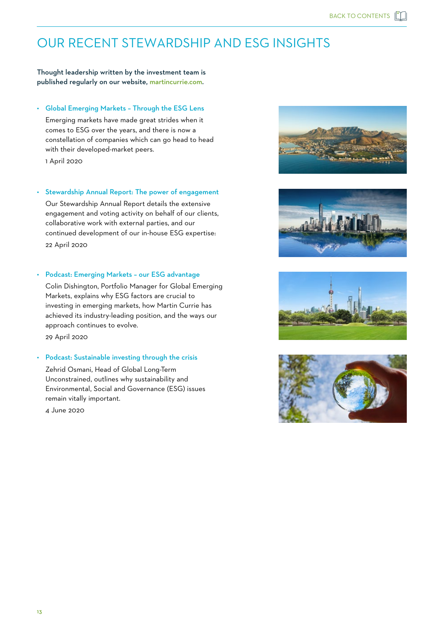## <span id="page-13-0"></span>OUR RECENT STEWARDSHIP AND ESG INSIGHTS

Thought leadership written by the investment team is published regularly on our website, [martincurrie.com.](https://www.martincurrie.com/insights) 

#### • [Global Emerging Markets – Through the ESG Lens](https://www.martincurrie.com/insights/global-emerging-markets-through-the-esg-lens)

 Emerging markets have made great strides when it comes to ESG over the years, and there is now a constellation of companies which can go head to head with their developed-market peers.

1 April 2020

#### [• Stewardship Annual Report: The power of engagement](https://www.martincurrie.com/insights/stewardship-report-2020)

 Our Stewardship Annual Report details the extensive engagement and voting activity on behalf of our clients, collaborative work with external parties, and our continued development of our in-house ESG expertise: 22 April 2020

#### • [Podcast: Emerging Markets – our ESG advantage](https://www.martincurrie.com/insights/emerging-markets-our-esg-advantage)

 Colin Dishington, Portfolio Manager for Global Emerging Markets, explains why ESG factors are crucial to investing in emerging markets, how Martin Currie has achieved its industry-leading position, and the ways our approach continues to evolve. 29 April 2020

#### • [Podcast: Sustainable investing through the crisis](https://www.martincurrie.com/insights/podcast-sustainable-investing-through-the-crisis)

 Zehrid Osmani, Head of Global Long-Term Unconstrained, outlines why sustainability and Environmental, Social and Governance (ESG) issues remain vitally important.

4 June 2020